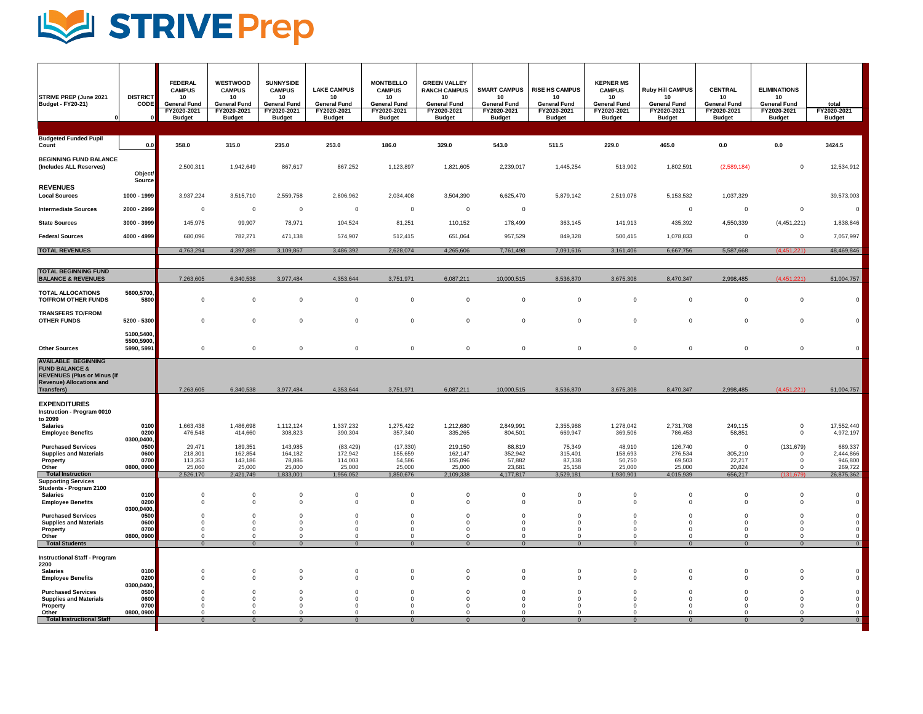## LA STRIVEPrep

| <b>STRIVE PREP (June 2021)</b><br><b>Budget - FY20-21)</b>                                                                                            | <b>DISTRICT</b><br><b>CODE</b><br>$\Omega$ | <b>FEDERAL</b><br><b>CAMPUS</b><br>10<br><b>General Fund</b><br>FY2020-2021<br><b>Budget</b> | <b>WESTWOOD</b><br><b>CAMPUS</b><br>10<br><b>General Fund</b><br>FY2020-2021<br><b>Budget</b> | <b>SUNNYSIDE</b><br><b>CAMPUS</b><br>10<br><b>General Fund</b><br>FY2020-2021<br><b>Budget</b> | <b>LAKE CAMPUS</b><br>10<br><b>General Fund</b><br>FY2020-2021<br><b>Budget</b> | <b>MONTBELLO</b><br><b>CAMPUS</b><br>10<br><b>General Fund</b><br>FY2020-2021<br><b>Budget</b> | <b>GREEN VALLEY</b><br><b>RANCH CAMPUS</b><br>10<br><b>General Fund</b><br>FY2020-2021<br><b>Budget</b> | <b>SMART CAMPUS</b><br>10<br><b>General Fund</b><br>FY2020-2021<br><b>Budget</b> | <b>RISE HS CAMPUS</b><br>10<br><b>General Fund</b><br>FY2020-2021<br><b>Budget</b> | <b>KEPNER MS</b><br><b>CAMPUS</b><br>10<br><b>General Fund</b><br>FY2020-2021<br><b>Budget</b> | <b>Ruby Hill CAMPUS</b><br>10 <sup>°</sup><br><b>General Fund</b><br>FY2020-2021<br><b>Budget</b> | <b>CENTRAL</b><br>10<br><b>General Fund</b><br>FY2020-2021<br><b>Budget</b> | <b>ELIMINATIONS</b><br>10 <sub>1</sub><br><b>General Fund</b><br>FY2020-2021<br><b>Budget</b> | total<br>FY2020-2021<br><b>Budget</b>      |
|-------------------------------------------------------------------------------------------------------------------------------------------------------|--------------------------------------------|----------------------------------------------------------------------------------------------|-----------------------------------------------------------------------------------------------|------------------------------------------------------------------------------------------------|---------------------------------------------------------------------------------|------------------------------------------------------------------------------------------------|---------------------------------------------------------------------------------------------------------|----------------------------------------------------------------------------------|------------------------------------------------------------------------------------|------------------------------------------------------------------------------------------------|---------------------------------------------------------------------------------------------------|-----------------------------------------------------------------------------|-----------------------------------------------------------------------------------------------|--------------------------------------------|
| <b>Budgeted Funded Pupil</b><br>Count                                                                                                                 | 0.0                                        | 358.0                                                                                        | 315.0                                                                                         | 235.0                                                                                          | 253.0                                                                           | 186.0                                                                                          | 329.0                                                                                                   | 543.0                                                                            | 511.5                                                                              | 229.0                                                                                          | 465.0                                                                                             | 0.0                                                                         | 0.0                                                                                           | 3424.5                                     |
| <b>BEGINNING FUND BALANCE</b><br>(Includes ALL Reserves)                                                                                              | Object/                                    | 2,500,311                                                                                    | 1,942,649                                                                                     | 867,617                                                                                        | 867,252                                                                         | 1,123,897                                                                                      | 1,821,605                                                                                               | 2,239,017                                                                        | 1,445,254                                                                          | 513,902                                                                                        | 1,802,591                                                                                         | (2,589,184)                                                                 | $\overline{0}$                                                                                | 12,534,912                                 |
| <b>REVENUES</b><br><b>Local Sources</b>                                                                                                               | <b>Source</b><br>1000 - 1999               | 3,937,224                                                                                    | 3,515,710                                                                                     | 2,559,758                                                                                      | 2,806,962                                                                       | 2,034,408                                                                                      | 3,504,390                                                                                               | 6,625,470                                                                        | 5,879,142                                                                          | 2,519,078                                                                                      | 5,153,532                                                                                         | 1,037,329                                                                   |                                                                                               | 39,573,003                                 |
| <b>Intermediate Sources</b>                                                                                                                           | 2000 - 2999                                |                                                                                              | $\overline{0}$                                                                                | $\overline{0}$                                                                                 |                                                                                 |                                                                                                | $\overline{0}$                                                                                          |                                                                                  |                                                                                    |                                                                                                |                                                                                                   |                                                                             |                                                                                               |                                            |
| <b>State Sources</b>                                                                                                                                  | $3000 - 3999$                              | 145,975                                                                                      | 99,907                                                                                        | 78,971                                                                                         | 104,524                                                                         | 81,251                                                                                         | 110,152                                                                                                 | 178,499                                                                          | 363,145                                                                            | 141,913                                                                                        | 435,392                                                                                           | 4,550,339                                                                   | (4,451,221)                                                                                   | 1,838,846                                  |
| <b>Federal Sources</b>                                                                                                                                | $4000 - 4999$                              | 680,096                                                                                      | 782,271                                                                                       | 471,138                                                                                        | 574,907                                                                         | 512,415                                                                                        | 651,064                                                                                                 | 957,529                                                                          | 849,328                                                                            | 500,415                                                                                        | 1,078,833                                                                                         |                                                                             |                                                                                               | 7,057,997                                  |
| <b>TOTAL REVENUES</b>                                                                                                                                 |                                            | 4,763,294                                                                                    | 4,397,889                                                                                     | 3,109,867                                                                                      | 3,486,392                                                                       | 2,628,074                                                                                      | 4,265,606                                                                                               | 7,761,498                                                                        | 7,091,616                                                                          | 3,161,406                                                                                      | 6,667,756                                                                                         | 5,587,668                                                                   | (4,451,221)                                                                                   | 48,469,846                                 |
|                                                                                                                                                       |                                            |                                                                                              |                                                                                               |                                                                                                |                                                                                 |                                                                                                |                                                                                                         |                                                                                  |                                                                                    |                                                                                                |                                                                                                   |                                                                             |                                                                                               |                                            |
| <b>TOTAL BEGINNING FUND</b><br><b>BALANCE &amp; REVENUES</b>                                                                                          |                                            | 7,263,605                                                                                    | 6,340,538                                                                                     | 3,977,484                                                                                      | 4,353,644                                                                       | 3,751,971                                                                                      | 6,087,211                                                                                               | 10,000,515                                                                       | 8,536,870                                                                          | 3,675,308                                                                                      | 8,470,347                                                                                         | 2,998,485                                                                   | (4,451,221)                                                                                   | 61,004,757                                 |
| <b>TOTAL ALLOCATIONS</b><br><b>TO/FROM OTHER FUNDS</b>                                                                                                | 5600,5700,<br>5800                         |                                                                                              |                                                                                               | $\overline{0}$                                                                                 |                                                                                 |                                                                                                | $\overline{0}$                                                                                          |                                                                                  |                                                                                    | $\overline{0}$                                                                                 |                                                                                                   |                                                                             |                                                                                               |                                            |
| <b>TRANSFERS TO/FROM</b><br><b>OTHER FUNDS</b>                                                                                                        | $5200 - 5300$                              |                                                                                              | $\overline{0}$                                                                                | $\overline{0}$                                                                                 | $\overline{0}$                                                                  |                                                                                                | $\overline{0}$                                                                                          | $\overline{0}$                                                                   | $\overline{0}$                                                                     | $\overline{0}$                                                                                 |                                                                                                   |                                                                             |                                                                                               |                                            |
| <b>Other Sources</b>                                                                                                                                  | 5100,5400,<br>5500,5900,<br>5990, 5991     |                                                                                              | $\overline{0}$                                                                                | $\overline{0}$                                                                                 | $\overline{0}$                                                                  |                                                                                                | $\overline{0}$                                                                                          | $\overline{0}$                                                                   |                                                                                    | $\overline{0}$                                                                                 |                                                                                                   |                                                                             |                                                                                               |                                            |
| <b>AVAILABLE BEGINNING</b><br><b>FUND BALANCE &amp;</b><br><b>REVENUES (Plus or Minus (if</b><br><b>Revenue) Allocations and</b><br><b>Transfers)</b> |                                            | 7,263,605                                                                                    | 6,340,538                                                                                     | 3,977,484                                                                                      | 4,353,644                                                                       | 3,751,971                                                                                      | 6,087,211                                                                                               | 10,000,515                                                                       | 8,536,870                                                                          | 3,675,308                                                                                      | 8,470,347                                                                                         | 2,998,485                                                                   | (4,451,221)                                                                                   | 61,004,757                                 |
| <b>EXPENDITURES</b><br><b>Instruction - Program 0010</b><br>to 2099<br><b>Salaries</b><br><b>Employee Benefits</b>                                    | 0100<br>0200<br>0300,0400,                 | 1,663,438<br>476,548                                                                         | 1,486,698<br>414,660                                                                          | 1,112,124<br>308,823                                                                           | 1,337,232<br>390,304                                                            | 1,275,422<br>357,340                                                                           | 1,212,680<br>335,265                                                                                    | 2,849,991<br>804,501                                                             | 2,355,988<br>669,947                                                               | 1,278,042<br>369,506                                                                           | 2,731,708<br>786,453                                                                              | 249,115<br>58,851                                                           | $\cap$                                                                                        | 17,552,440<br>4,972,197                    |
| <b>Purchased Services</b><br><b>Supplies and Materials</b><br><b>Property</b><br><b>Other</b>                                                         | 0500 <br> 0600 <br> 0700 <br>0800, 0900    | 29,471<br>218,301<br>113,353<br>25,060                                                       | 189,351<br>162,854<br>143,186<br>25,000                                                       | 143,985<br>164,182<br>78,886<br>25,000                                                         | (83, 429)<br>172,942<br>114,003<br>25,000                                       | (17, 330)<br>155,659<br>54,586<br>25,000                                                       | 219,150<br>162,147<br>155,096<br>25,000                                                                 | 88,819<br>352,942<br>57,882<br>23,681                                            | 75,349<br>315,401<br>87,338<br>25,158                                              | 48,910<br>158,693<br>50,750<br>25,000                                                          | 126,740<br>276,534<br>69,503<br>25,000                                                            | 305,210<br>22,217<br>20,824                                                 | (131, 679)                                                                                    | 689,337<br>2,444,866<br>946,800<br>269,722 |
| <b>Total Instruction</b><br><b>Supporting Services</b><br><b>Students - Program 2100</b><br><b>Salaries</b><br><b>Employee Benefits</b>               | 0100<br> 0200 <br>0300,0400,               | 2,526,170                                                                                    | 2,421,749                                                                                     | 1,833,001                                                                                      | 1,956,052                                                                       | 1,850,676                                                                                      | 2,109,338                                                                                               | 4,177,817                                                                        | 3,529,181                                                                          | 1,930,901<br>$\Omega$                                                                          | 4,015,939                                                                                         | 656,217                                                                     | (131, 679)                                                                                    | 26,875,362                                 |
| <b>Purchased Services</b><br><b>Supplies and Materials</b><br><b>Property</b><br><b>Other</b>                                                         | 0500 <br>0600<br>0700<br>0800, 0900        |                                                                                              |                                                                                               |                                                                                                |                                                                                 |                                                                                                |                                                                                                         |                                                                                  |                                                                                    |                                                                                                |                                                                                                   |                                                                             |                                                                                               |                                            |
| <b>Total Students</b>                                                                                                                                 |                                            |                                                                                              | $\Omega$                                                                                      | $\Omega$                                                                                       | $\Omega$                                                                        |                                                                                                | $\Omega$                                                                                                |                                                                                  |                                                                                    | $\Omega$                                                                                       |                                                                                                   |                                                                             |                                                                                               |                                            |
| <b>Instructional Staff - Program</b><br>2200<br><b>Salaries</b>                                                                                       | 0100                                       |                                                                                              |                                                                                               |                                                                                                |                                                                                 |                                                                                                |                                                                                                         |                                                                                  |                                                                                    |                                                                                                |                                                                                                   |                                                                             |                                                                                               |                                            |
| <b>Employee Benefits</b><br><b>Purchased Services</b><br><b>Supplies and Materials</b>                                                                | 0200 <br>0300,0400,<br> 0500 <br>0600      |                                                                                              |                                                                                               |                                                                                                |                                                                                 |                                                                                                |                                                                                                         |                                                                                  |                                                                                    | $\Omega$                                                                                       |                                                                                                   |                                                                             |                                                                                               |                                            |
| <b>Property</b><br><b>Other</b><br><b>Total Instructional Staff</b>                                                                                   | 0700<br>0800, 0900                         |                                                                                              | $\Omega$                                                                                      | $\Omega$                                                                                       |                                                                                 |                                                                                                |                                                                                                         |                                                                                  |                                                                                    | $\Omega$                                                                                       |                                                                                                   |                                                                             |                                                                                               |                                            |
|                                                                                                                                                       |                                            |                                                                                              |                                                                                               |                                                                                                |                                                                                 |                                                                                                |                                                                                                         |                                                                                  |                                                                                    |                                                                                                |                                                                                                   |                                                                             |                                                                                               |                                            |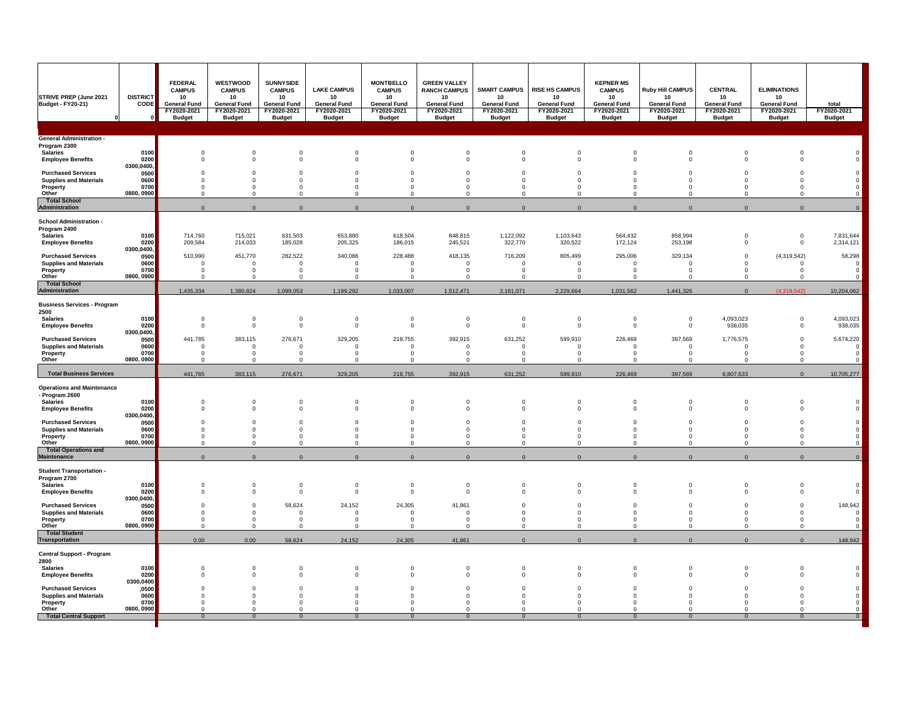| <b>STRIVE PREP (June 2021</b><br>Budget - FY20-21)         | <b>DISTRICT</b><br><b>CODE</b>                 | <b>FEDERAL</b><br><b>CAMPUS</b><br>10<br><b>General Fund</b><br>FY2020-2021<br><b>Budget</b> | <b>WESTWOOD</b><br><b>CAMPUS</b><br>10 <sup>°</sup><br><b>General Fund</b><br>FY2020-2021<br><b>Budget</b> | <b>SUNNYSIDE</b><br><b>CAMPUS</b><br>10<br><b>General Fund</b><br>FY2020-2021<br><b>Budget</b> | <b>LAKE CAMPUS</b><br>10<br><b>General Fund</b><br>FY2020-2021<br><b>Budget</b> | <b>MONTBELLO</b><br><b>CAMPUS</b><br>10<br><b>General Fund</b><br>FY2020-2021<br><b>Budget</b> | <b>GREEN VALLEY</b><br><b>RANCH CAMPUS</b><br>10<br><b>General Fund</b><br>FY2020-2021<br><b>Budget</b> | <b>SMART CAMPUS</b><br>10<br><b>General Fund</b><br>FY2020-2021<br><b>Budget</b> | <b>RISE HS CAMPUS</b><br>10 <sup>°</sup><br><b>General Fund</b><br>FY2020-2021<br><b>Budget</b> | <b>KEPNER MS</b><br><b>CAMPUS</b><br>10<br><b>General Fund</b><br>FY2020-2021<br><b>Budget</b> | <b>Ruby Hill CAMPUS</b><br>10<br><b>General Fund</b><br>FY2020-2021<br><b>Budget</b> | <b>CENTRAL</b><br>10<br><b>General Fund</b><br>FY2020-2021<br><b>Budget</b> | <b>ELIMINATIONS</b><br>10<br><b>General Fund</b><br>FY2020-2021<br><b>Budget</b> | total<br>FY2020-2021<br><b>Budget</b> |
|------------------------------------------------------------|------------------------------------------------|----------------------------------------------------------------------------------------------|------------------------------------------------------------------------------------------------------------|------------------------------------------------------------------------------------------------|---------------------------------------------------------------------------------|------------------------------------------------------------------------------------------------|---------------------------------------------------------------------------------------------------------|----------------------------------------------------------------------------------|-------------------------------------------------------------------------------------------------|------------------------------------------------------------------------------------------------|--------------------------------------------------------------------------------------|-----------------------------------------------------------------------------|----------------------------------------------------------------------------------|---------------------------------------|
| <b>General Administration -</b>                            |                                                |                                                                                              |                                                                                                            |                                                                                                |                                                                                 |                                                                                                |                                                                                                         |                                                                                  |                                                                                                 |                                                                                                |                                                                                      |                                                                             |                                                                                  |                                       |
| Program 2300<br><b>Salaries</b>                            | 0100                                           |                                                                                              |                                                                                                            |                                                                                                |                                                                                 |                                                                                                |                                                                                                         |                                                                                  |                                                                                                 |                                                                                                |                                                                                      |                                                                             |                                                                                  |                                       |
| <b>Employee Benefits</b>                                   | 0200<br>0300,0400,                             |                                                                                              |                                                                                                            |                                                                                                |                                                                                 |                                                                                                |                                                                                                         |                                                                                  |                                                                                                 |                                                                                                |                                                                                      |                                                                             |                                                                                  |                                       |
| <b>Purchased Services</b><br><b>Supplies and Materials</b> | 0500<br>0600<br>0700                           |                                                                                              |                                                                                                            |                                                                                                |                                                                                 |                                                                                                |                                                                                                         |                                                                                  |                                                                                                 |                                                                                                |                                                                                      |                                                                             |                                                                                  |                                       |
| <b>Property</b><br><b>Other</b>                            | 0800, 0900                                     |                                                                                              |                                                                                                            |                                                                                                |                                                                                 |                                                                                                |                                                                                                         |                                                                                  |                                                                                                 |                                                                                                |                                                                                      |                                                                             |                                                                                  |                                       |
| <b>Total School</b><br>Administration                      |                                                |                                                                                              |                                                                                                            |                                                                                                |                                                                                 |                                                                                                |                                                                                                         |                                                                                  |                                                                                                 |                                                                                                |                                                                                      |                                                                             |                                                                                  |                                       |
| <b>School Administration -</b><br>Program 2400             |                                                |                                                                                              |                                                                                                            |                                                                                                |                                                                                 |                                                                                                |                                                                                                         |                                                                                  |                                                                                                 |                                                                                                |                                                                                      |                                                                             |                                                                                  |                                       |
| <b>Salaries</b><br><b>Employee Benefits</b>                | 0100<br>0200                                   | 714,760<br>209,584                                                                           | 715,021<br>214,033                                                                                         | 631,503<br>185,028                                                                             | 653,880<br>205,325                                                              | 618,504<br>186,015                                                                             | 848,815<br>245,521                                                                                      | 1,122,092<br>322,770                                                             | 1,103,643<br>320,522                                                                            | 564,432<br>172,124                                                                             | 858,994<br>253,198                                                                   |                                                                             |                                                                                  | 7,831,644<br>2,314,121                |
| <b>Purchased Services</b><br><b>Supplies and Materials</b> | 0300,0400,<br>0500<br>0600                     | 510,990                                                                                      | 451,770                                                                                                    | 282,522                                                                                        | 340,086                                                                         | 228,488                                                                                        | 418,135                                                                                                 | 716,209                                                                          | 805,499                                                                                         | 295,006                                                                                        | 329,134                                                                              |                                                                             | (4,319,542)                                                                      | 58,298                                |
| <b>Property</b><br><b>Other</b>                            | 0700<br>0800, 0900                             |                                                                                              |                                                                                                            |                                                                                                |                                                                                 |                                                                                                |                                                                                                         |                                                                                  |                                                                                                 |                                                                                                |                                                                                      |                                                                             |                                                                                  |                                       |
| <b>Total School</b><br>Administration                      |                                                | 1,435,334                                                                                    | 1,380,824                                                                                                  | 1,099,053                                                                                      | 1,199,292                                                                       | 1,033,007                                                                                      | 1,512,471                                                                                               | 2,161,071                                                                        | 2,229,664                                                                                       | 1,031,562                                                                                      | 1,441,326                                                                            |                                                                             | (4,319,542)                                                                      | 10,204,062                            |
| <b>Business Services - Program</b>                         |                                                |                                                                                              |                                                                                                            |                                                                                                |                                                                                 |                                                                                                |                                                                                                         |                                                                                  |                                                                                                 |                                                                                                |                                                                                      |                                                                             |                                                                                  |                                       |
| 2500<br><b>Salaries</b>                                    | 0100                                           |                                                                                              |                                                                                                            |                                                                                                | $\overline{0}$                                                                  |                                                                                                |                                                                                                         |                                                                                  |                                                                                                 |                                                                                                |                                                                                      | 4,093,023                                                                   |                                                                                  | 4,093,023                             |
| <b>Employee Benefits</b>                                   | 0200<br>0300,0400,                             |                                                                                              |                                                                                                            |                                                                                                | $\Omega$                                                                        |                                                                                                |                                                                                                         |                                                                                  |                                                                                                 |                                                                                                |                                                                                      | 938,035                                                                     |                                                                                  | 938,035                               |
| <b>Purchased Services</b><br><b>Supplies and Materials</b> | 0500<br>0600                                   | 441,785                                                                                      | 383,115                                                                                                    | 276,671                                                                                        | 329,205                                                                         | 218,755                                                                                        | 392,915                                                                                                 | 631,252                                                                          | 599,910                                                                                         | 226,469                                                                                        | 397,569                                                                              | 1,776,575                                                                   |                                                                                  | 5,674,220                             |
| <b>Property</b><br><b>Other</b>                            | 0700<br>0800, 0900                             |                                                                                              |                                                                                                            |                                                                                                |                                                                                 |                                                                                                |                                                                                                         |                                                                                  |                                                                                                 |                                                                                                |                                                                                      |                                                                             |                                                                                  |                                       |
| <b>Total Business Services</b>                             |                                                | 441,785                                                                                      | 383,115                                                                                                    | 276,671                                                                                        | 329,205                                                                         | 218,755                                                                                        | 392,915                                                                                                 | 631,252                                                                          | 599,910                                                                                         | 226,469                                                                                        | 397,569                                                                              | 6,807,633                                                                   |                                                                                  | 10,705,277                            |
| <b>Operations and Maintenance</b><br>- Program 2600        |                                                |                                                                                              |                                                                                                            |                                                                                                |                                                                                 |                                                                                                |                                                                                                         |                                                                                  |                                                                                                 |                                                                                                |                                                                                      |                                                                             |                                                                                  |                                       |
| <b>Salaries</b><br><b>Employee Benefits</b>                | 0100<br>0200                                   |                                                                                              | $\Omega$                                                                                                   |                                                                                                | $\Omega$                                                                        |                                                                                                |                                                                                                         |                                                                                  |                                                                                                 |                                                                                                |                                                                                      | $\Omega$                                                                    |                                                                                  |                                       |
| <b>Purchased Services</b>                                  | 0300,0400,<br>0500<br>$\overline{\phantom{a}}$ | $\overline{0}$                                                                               | $\overline{0}$                                                                                             |                                                                                                | $\overline{0}$                                                                  |                                                                                                |                                                                                                         |                                                                                  | $\overline{0}$                                                                                  |                                                                                                |                                                                                      | $\overline{0}$                                                              |                                                                                  |                                       |
| <b>Supplies and Materials</b><br><b>Property</b>           | 0600<br>0700                                   |                                                                                              |                                                                                                            |                                                                                                |                                                                                 |                                                                                                |                                                                                                         |                                                                                  |                                                                                                 |                                                                                                |                                                                                      |                                                                             |                                                                                  |                                       |
| <b>Other</b><br><b>Total Operations and</b><br>Maintenance | 0800, 0900                                     |                                                                                              |                                                                                                            |                                                                                                |                                                                                 |                                                                                                |                                                                                                         |                                                                                  |                                                                                                 |                                                                                                |                                                                                      |                                                                             |                                                                                  |                                       |
| <b>Student Transportation -</b>                            |                                                |                                                                                              |                                                                                                            |                                                                                                |                                                                                 |                                                                                                |                                                                                                         |                                                                                  |                                                                                                 |                                                                                                |                                                                                      |                                                                             |                                                                                  |                                       |
| Program 2700<br><b>Salaries</b>                            | 0100<br>0200                                   |                                                                                              |                                                                                                            |                                                                                                |                                                                                 |                                                                                                |                                                                                                         |                                                                                  |                                                                                                 |                                                                                                |                                                                                      |                                                                             |                                                                                  |                                       |
| <b>Employee Benefits</b><br><b>Purchased Services</b>      | $\bm{0300{,}0400,}$<br>0500                    |                                                                                              |                                                                                                            | 58,624                                                                                         | 24,152                                                                          | 24,305                                                                                         | 41,861                                                                                                  |                                                                                  |                                                                                                 |                                                                                                |                                                                                      |                                                                             |                                                                                  | 148,942                               |
| <b>Supplies and Materials</b><br><b>Property</b>           | 0600<br>0700                                   |                                                                                              |                                                                                                            |                                                                                                |                                                                                 |                                                                                                |                                                                                                         |                                                                                  |                                                                                                 |                                                                                                |                                                                                      |                                                                             |                                                                                  |                                       |
| <b>Other</b><br><b>Total Student</b>                       | 0800, 0900                                     |                                                                                              |                                                                                                            |                                                                                                |                                                                                 |                                                                                                |                                                                                                         |                                                                                  |                                                                                                 |                                                                                                |                                                                                      |                                                                             |                                                                                  |                                       |
| Transportation                                             |                                                | 0.00                                                                                         | 0.00                                                                                                       | 58,624                                                                                         | 24,152                                                                          | 24,305                                                                                         | 41,861                                                                                                  |                                                                                  |                                                                                                 |                                                                                                |                                                                                      |                                                                             |                                                                                  | 148,942                               |
| <b>Central Support - Program</b><br>2800                   |                                                |                                                                                              |                                                                                                            |                                                                                                |                                                                                 |                                                                                                |                                                                                                         |                                                                                  |                                                                                                 |                                                                                                |                                                                                      |                                                                             |                                                                                  |                                       |
| <b>Salaries</b><br><b>Employee Benefits</b>                | 0100<br>0200                                   |                                                                                              |                                                                                                            |                                                                                                |                                                                                 |                                                                                                |                                                                                                         |                                                                                  |                                                                                                 |                                                                                                |                                                                                      |                                                                             |                                                                                  |                                       |
| <b>Purchased Services</b>                                  | 0300,0400<br>,0500                             |                                                                                              |                                                                                                            |                                                                                                |                                                                                 |                                                                                                |                                                                                                         |                                                                                  |                                                                                                 |                                                                                                |                                                                                      |                                                                             |                                                                                  |                                       |
| <b>Supplies and Materials</b><br><b>Property</b>           | 0600<br>0700                                   |                                                                                              |                                                                                                            |                                                                                                |                                                                                 |                                                                                                |                                                                                                         |                                                                                  |                                                                                                 |                                                                                                |                                                                                      |                                                                             |                                                                                  |                                       |
| <b>Other</b><br><b>Total Central Support</b>               | 0800, 0900                                     |                                                                                              | $\Omega$                                                                                                   |                                                                                                | $\Omega$                                                                        | $\Omega$                                                                                       |                                                                                                         |                                                                                  |                                                                                                 |                                                                                                |                                                                                      | $\Omega$                                                                    |                                                                                  |                                       |
|                                                            |                                                |                                                                                              |                                                                                                            |                                                                                                |                                                                                 |                                                                                                |                                                                                                         |                                                                                  |                                                                                                 |                                                                                                |                                                                                      |                                                                             |                                                                                  |                                       |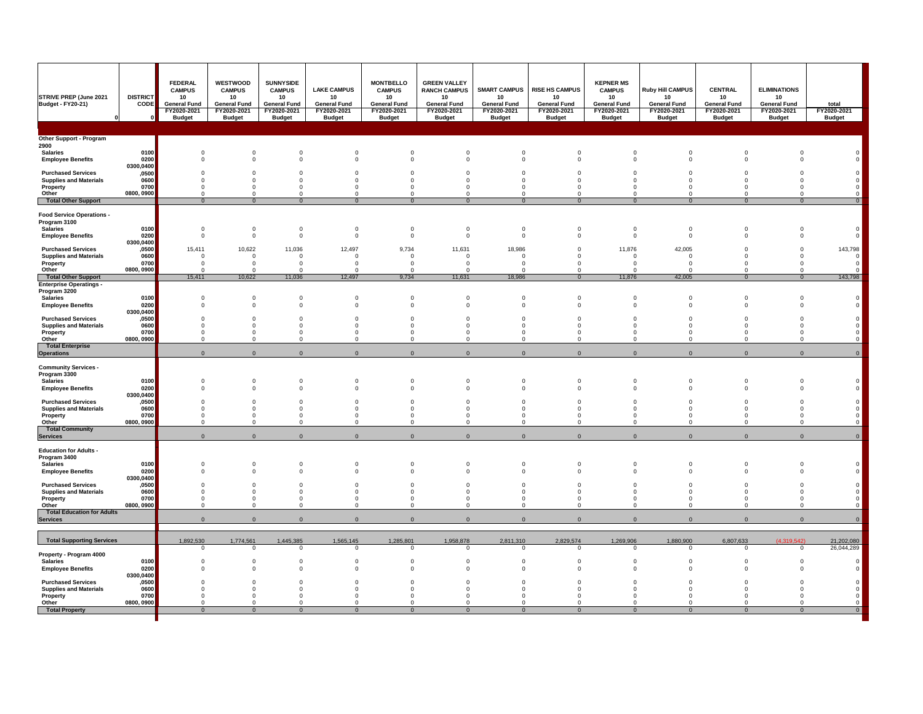| <b>STRIVE PREP (June 2021)</b><br><b>Budget - FY20-21)</b>                                      | <b>DISTRICT</b><br><b>CODE</b><br>- ON | <b>FEDERAL</b><br><b>CAMPUS</b><br>10<br><b>General Fund</b><br>FY2020-2021<br><b>Budget</b> | <b>WESTWOOD</b><br><b>CAMPUS</b><br>10<br><b>General Fund</b><br>FY2020-2021<br><b>Budget</b> | <b>SUNNYSIDE</b><br><b>CAMPUS</b><br>10<br><b>General Fund</b><br>FY2020-2021<br><b>Budget</b> | <b>LAKE CAMPUS</b><br>10<br><b>General Fund</b><br>FY2020-2021<br><b>Budget</b> | <b>MONTBELLO</b><br><b>CAMPUS</b><br>10<br><b>General Fund</b><br>FY2020-2021<br><b>Budget</b> | <b>GREEN VALLEY</b><br><b>RANCH CAMPUS</b><br>10<br><b>General Fund</b><br>FY2020-2021<br><b>Budget</b> | <b>SMART CAMPUS</b><br>10<br><b>General Fund</b><br>FY2020-2021<br><b>Budget</b> | <b>RISE HS CAMPUS</b><br>10<br><b>General Fund</b><br>FY2020-2021<br><b>Budget</b> | <b>KEPNER MS</b><br><b>CAMPUS</b><br>10<br><b>General Fund</b><br>FY2020-2021<br><b>Budget</b> | <b>Ruby Hill CAMPUS</b><br>10<br><b>General Fund</b><br>FY2020-2021<br><b>Budget</b> | <b>CENTRAL</b><br>10<br><b>General Fund</b><br>FY2020-2021<br><b>Budget</b> | <b>ELIMINATIONS</b><br>10<br><b>General Fund</b><br>FY2020-2021<br><b>Budget</b> | total<br>FY2020-2021<br><b>Budget</b> |
|-------------------------------------------------------------------------------------------------|----------------------------------------|----------------------------------------------------------------------------------------------|-----------------------------------------------------------------------------------------------|------------------------------------------------------------------------------------------------|---------------------------------------------------------------------------------|------------------------------------------------------------------------------------------------|---------------------------------------------------------------------------------------------------------|----------------------------------------------------------------------------------|------------------------------------------------------------------------------------|------------------------------------------------------------------------------------------------|--------------------------------------------------------------------------------------|-----------------------------------------------------------------------------|----------------------------------------------------------------------------------|---------------------------------------|
| <b>Other Support - Program</b>                                                                  |                                        |                                                                                              |                                                                                               |                                                                                                |                                                                                 |                                                                                                |                                                                                                         |                                                                                  |                                                                                    |                                                                                                |                                                                                      |                                                                             |                                                                                  |                                       |
| 2900                                                                                            |                                        |                                                                                              |                                                                                               |                                                                                                |                                                                                 |                                                                                                |                                                                                                         |                                                                                  |                                                                                    |                                                                                                |                                                                                      |                                                                             |                                                                                  |                                       |
| <b>Salaries</b><br><b>Employee Benefits</b>                                                     | 0100 <br> 0200 <br>0300,0400           |                                                                                              |                                                                                               |                                                                                                |                                                                                 |                                                                                                |                                                                                                         |                                                                                  |                                                                                    |                                                                                                |                                                                                      |                                                                             |                                                                                  |                                       |
| <b>Purchased Services</b>                                                                       | ,0500                                  |                                                                                              |                                                                                               |                                                                                                |                                                                                 |                                                                                                |                                                                                                         |                                                                                  |                                                                                    |                                                                                                |                                                                                      |                                                                             |                                                                                  |                                       |
| <b>Supplies and Materials</b><br><b>Property</b>                                                | 0600<br>0700                           |                                                                                              |                                                                                               |                                                                                                |                                                                                 |                                                                                                |                                                                                                         |                                                                                  |                                                                                    |                                                                                                |                                                                                      |                                                                             |                                                                                  |                                       |
| Other                                                                                           | 0800, 0900                             |                                                                                              |                                                                                               |                                                                                                |                                                                                 |                                                                                                |                                                                                                         |                                                                                  |                                                                                    |                                                                                                |                                                                                      |                                                                             |                                                                                  |                                       |
| <b>Total Other Support</b>                                                                      |                                        |                                                                                              | $\Omega$                                                                                      | $\Omega$                                                                                       | $\Omega$                                                                        | $\cap$                                                                                         |                                                                                                         |                                                                                  |                                                                                    | $\Omega$                                                                                       |                                                                                      |                                                                             |                                                                                  |                                       |
| <b>Food Service Operations -</b><br>Program 3100<br><b>Salaries</b><br><b>Employee Benefits</b> | 0100<br> 0200                          |                                                                                              |                                                                                               |                                                                                                |                                                                                 |                                                                                                |                                                                                                         |                                                                                  |                                                                                    |                                                                                                |                                                                                      |                                                                             |                                                                                  |                                       |
| <b>Purchased Services</b>                                                                       | 0300,0400<br>,0500                     | 15,411                                                                                       | 10,622                                                                                        | 11,036                                                                                         | 12,497                                                                          | 9,734                                                                                          | 11,631                                                                                                  | 18,986                                                                           |                                                                                    | 11,876                                                                                         | 42,005                                                                               |                                                                             |                                                                                  | 143,798                               |
| <b>Supplies and Materials</b>                                                                   | 0600                                   |                                                                                              |                                                                                               |                                                                                                |                                                                                 |                                                                                                |                                                                                                         |                                                                                  |                                                                                    |                                                                                                |                                                                                      |                                                                             |                                                                                  |                                       |
| <b>Property</b><br><b>Other</b>                                                                 | 0700 <br>0800, 0900                    |                                                                                              |                                                                                               |                                                                                                |                                                                                 |                                                                                                |                                                                                                         |                                                                                  |                                                                                    |                                                                                                |                                                                                      |                                                                             |                                                                                  |                                       |
| <b>Total Other Support</b>                                                                      |                                        | 15,411                                                                                       | 10,622                                                                                        | 11,036                                                                                         | 12,497                                                                          | 9,734                                                                                          | 11,631                                                                                                  | 18,986                                                                           |                                                                                    | 11,876                                                                                         | 42,005                                                                               |                                                                             |                                                                                  | 143,798                               |
| <b>Enterprise Operatings -</b><br>Program 3200                                                  |                                        |                                                                                              |                                                                                               |                                                                                                |                                                                                 |                                                                                                |                                                                                                         |                                                                                  |                                                                                    |                                                                                                |                                                                                      |                                                                             |                                                                                  |                                       |
| <b>Salaries</b>                                                                                 | 0100                                   |                                                                                              |                                                                                               |                                                                                                |                                                                                 |                                                                                                |                                                                                                         |                                                                                  |                                                                                    |                                                                                                |                                                                                      |                                                                             |                                                                                  |                                       |
| <b>Employee Benefits</b>                                                                        | 0200 <br>0300,0400                     |                                                                                              |                                                                                               |                                                                                                |                                                                                 |                                                                                                |                                                                                                         |                                                                                  |                                                                                    |                                                                                                |                                                                                      |                                                                             |                                                                                  |                                       |
| <b>Purchased Services</b>                                                                       | ,0500                                  |                                                                                              |                                                                                               |                                                                                                |                                                                                 |                                                                                                |                                                                                                         |                                                                                  |                                                                                    |                                                                                                |                                                                                      |                                                                             |                                                                                  |                                       |
| <b>Supplies and Materials</b><br><b>Property</b>                                                | 0600<br>0700                           |                                                                                              |                                                                                               |                                                                                                |                                                                                 |                                                                                                |                                                                                                         |                                                                                  |                                                                                    |                                                                                                |                                                                                      |                                                                             |                                                                                  |                                       |
| <b>Other</b>                                                                                    | 0800, 0900                             |                                                                                              |                                                                                               |                                                                                                |                                                                                 |                                                                                                |                                                                                                         |                                                                                  |                                                                                    |                                                                                                |                                                                                      |                                                                             |                                                                                  |                                       |
| <b>Total Enterprise</b><br><b>Operations</b>                                                    |                                        |                                                                                              |                                                                                               |                                                                                                |                                                                                 |                                                                                                |                                                                                                         |                                                                                  |                                                                                    |                                                                                                |                                                                                      |                                                                             |                                                                                  |                                       |
| <b>Community Services -</b>                                                                     |                                        |                                                                                              |                                                                                               |                                                                                                |                                                                                 |                                                                                                |                                                                                                         |                                                                                  |                                                                                    |                                                                                                |                                                                                      |                                                                             |                                                                                  |                                       |
| Program 3300<br><b>Salaries</b>                                                                 | $\mathbf{0100}$                        |                                                                                              |                                                                                               |                                                                                                |                                                                                 |                                                                                                |                                                                                                         |                                                                                  |                                                                                    |                                                                                                |                                                                                      |                                                                             |                                                                                  |                                       |
| <b>Employee Benefits</b>                                                                        | 0200                                   |                                                                                              |                                                                                               |                                                                                                |                                                                                 |                                                                                                |                                                                                                         |                                                                                  |                                                                                    |                                                                                                |                                                                                      |                                                                             |                                                                                  |                                       |
| <b>Purchased Services</b>                                                                       | 0300,0400<br>,0500                     |                                                                                              |                                                                                               |                                                                                                |                                                                                 |                                                                                                |                                                                                                         |                                                                                  |                                                                                    |                                                                                                |                                                                                      |                                                                             |                                                                                  |                                       |
| <b>Supplies and Materials</b>                                                                   | 0600                                   |                                                                                              |                                                                                               |                                                                                                |                                                                                 |                                                                                                |                                                                                                         |                                                                                  |                                                                                    |                                                                                                |                                                                                      |                                                                             |                                                                                  |                                       |
| <b>Property</b><br><b>Other</b>                                                                 | 0700<br>0800, 0900                     |                                                                                              |                                                                                               |                                                                                                |                                                                                 |                                                                                                |                                                                                                         |                                                                                  |                                                                                    |                                                                                                |                                                                                      |                                                                             |                                                                                  |                                       |
| <b>Total Community</b><br>Services                                                              |                                        |                                                                                              | $\overline{0}$                                                                                | $\overline{0}$                                                                                 | $\overline{0}$                                                                  | $\Omega$                                                                                       | $\Omega$                                                                                                |                                                                                  |                                                                                    |                                                                                                |                                                                                      |                                                                             |                                                                                  |                                       |
|                                                                                                 |                                        |                                                                                              |                                                                                               |                                                                                                |                                                                                 |                                                                                                |                                                                                                         |                                                                                  |                                                                                    |                                                                                                |                                                                                      |                                                                             |                                                                                  |                                       |
| <b>Education for Adults -</b><br>Program 3400                                                   |                                        |                                                                                              |                                                                                               |                                                                                                |                                                                                 |                                                                                                |                                                                                                         |                                                                                  |                                                                                    |                                                                                                |                                                                                      |                                                                             |                                                                                  |                                       |
| <b>Salaries</b>                                                                                 | 0100                                   |                                                                                              |                                                                                               |                                                                                                |                                                                                 |                                                                                                |                                                                                                         |                                                                                  |                                                                                    |                                                                                                |                                                                                      |                                                                             |                                                                                  |                                       |
| <b>Employee Benefits</b>                                                                        | 0200 <br>0300,0400                     |                                                                                              |                                                                                               |                                                                                                |                                                                                 |                                                                                                |                                                                                                         |                                                                                  |                                                                                    |                                                                                                |                                                                                      |                                                                             |                                                                                  |                                       |
| <b>Purchased Services</b>                                                                       | ,0500                                  |                                                                                              |                                                                                               |                                                                                                |                                                                                 |                                                                                                |                                                                                                         |                                                                                  |                                                                                    |                                                                                                |                                                                                      |                                                                             |                                                                                  |                                       |
| <b>Supplies and Materials</b><br><b>Property</b>                                                | 0600<br>0700                           |                                                                                              |                                                                                               |                                                                                                |                                                                                 |                                                                                                |                                                                                                         |                                                                                  |                                                                                    |                                                                                                |                                                                                      |                                                                             |                                                                                  |                                       |
| <b>Other</b>                                                                                    | $\left 0800,0900\right $               |                                                                                              |                                                                                               |                                                                                                |                                                                                 |                                                                                                |                                                                                                         |                                                                                  |                                                                                    |                                                                                                |                                                                                      |                                                                             |                                                                                  |                                       |
| <b>Total Education for Adults</b><br><b>Services</b>                                            |                                        |                                                                                              | $\Omega$                                                                                      |                                                                                                |                                                                                 |                                                                                                |                                                                                                         |                                                                                  |                                                                                    |                                                                                                |                                                                                      |                                                                             |                                                                                  |                                       |
|                                                                                                 |                                        |                                                                                              |                                                                                               |                                                                                                |                                                                                 |                                                                                                |                                                                                                         |                                                                                  |                                                                                    |                                                                                                |                                                                                      |                                                                             |                                                                                  |                                       |
| <b>Total Supporting Services</b>                                                                |                                        | 1,892,530                                                                                    | 1,774,561                                                                                     | 1,445,385<br>$\overline{0}$                                                                    | 1,565,145<br>$\overline{0}$                                                     | 1,285,801                                                                                      | 1,958,878                                                                                               | 2,811,310                                                                        | 2,829,574                                                                          | 1,269,906                                                                                      | 1,880,900                                                                            | 6,807,633                                                                   | (4,319,542)                                                                      | 21,202,080<br>26,044,289              |
| <b>Property - Program 4000</b><br><b>Salaries</b>                                               | 0100                                   |                                                                                              |                                                                                               |                                                                                                |                                                                                 |                                                                                                |                                                                                                         |                                                                                  |                                                                                    |                                                                                                |                                                                                      |                                                                             |                                                                                  |                                       |
| <b>Employee Benefits</b>                                                                        | 0200                                   |                                                                                              |                                                                                               |                                                                                                |                                                                                 |                                                                                                |                                                                                                         |                                                                                  |                                                                                    |                                                                                                |                                                                                      |                                                                             |                                                                                  |                                       |
| <b>Purchased Services</b>                                                                       | 0300,0400<br>,0500                     |                                                                                              |                                                                                               |                                                                                                |                                                                                 |                                                                                                |                                                                                                         |                                                                                  |                                                                                    |                                                                                                |                                                                                      |                                                                             |                                                                                  |                                       |
| <b>Supplies and Materials</b>                                                                   | 0600                                   |                                                                                              |                                                                                               |                                                                                                |                                                                                 |                                                                                                |                                                                                                         |                                                                                  |                                                                                    |                                                                                                |                                                                                      |                                                                             |                                                                                  |                                       |
| <b>Property</b><br><b>Other</b>                                                                 | 0700<br>0800, 0900                     |                                                                                              |                                                                                               |                                                                                                |                                                                                 |                                                                                                |                                                                                                         |                                                                                  |                                                                                    |                                                                                                |                                                                                      |                                                                             |                                                                                  |                                       |
| Total Property                                                                                  |                                        |                                                                                              |                                                                                               |                                                                                                |                                                                                 |                                                                                                |                                                                                                         |                                                                                  |                                                                                    |                                                                                                |                                                                                      |                                                                             |                                                                                  |                                       |
|                                                                                                 |                                        |                                                                                              |                                                                                               |                                                                                                |                                                                                 |                                                                                                |                                                                                                         |                                                                                  |                                                                                    |                                                                                                |                                                                                      |                                                                             |                                                                                  |                                       |